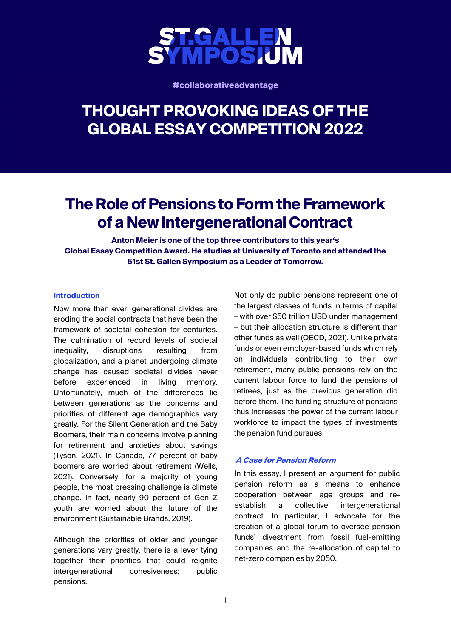

**#collaborativeadvantage**

# **THOUGHT PROVOKING IDEAS OF THE GLOBAL ESSAY COMPETITION 2022**

## **The Role of Pensions to Form the Framework of a New Intergenerational Contract**

**Anton Meier is one of the top three contributors to this year's Global Essay Competition Award. He studies at University of Toronto and attended the 51st St. Gallen Symposium as a Leader of Tomorrow.** 

#### **Introduction**

Now more than ever, generational divides are eroding the social contracts that have been the framework of societal cohesion for centuries. The culmination of record levels of societal inequality, disruptions resulting from globalization, and a planet undergoing climate change has caused societal divides never before experienced in living memory. Unfortunately, much of the differences lie between generations as the concerns and priorities of different age demographics vary greatly. For the Silent Generation and the Baby Boomers, their main concerns involve planning for retirement and anxieties about savings (Tyson, 2021). In Canada, 77 percent of baby boomers are worried about retirement (Wells, 2021). Conversely, for a majority of young people, the most pressing challenge is climate change. In fact, nearly 90 percent of Gen Z youth are worried about the future of the environment (Sustainable Brands, 2019).

Although the priorities of older and younger generations vary greatly, there is a lever tying together their priorities that could reignite intergenerational cohesiveness: public pensions.

Not only do public pensions represent one of the largest classes of funds in terms of capital – with over \$50 trillion USD under management – but their allocation structure is different than other funds as well (OECD, 2021). Unlike private funds or even employer-based funds which rely on individuals contributing to their own retirement, many public pensions rely on the current labour force to fund the pensions of retirees, just as the previous generation did before them. The funding structure of pensions thus increases the power of the current labour workforce to impact the types of investments the pension fund pursues.

#### **A Case for Pension Reform**

In this essay, I present an argument for public pension reform as a means to enhance cooperation between age groups and reestablish a collective intergenerational contract. In particular, I advocate for the creation of a global forum to oversee pension funds' divestment from fossil fuel-emitting companies and the re-allocation of capital to net-zero companies by 2050.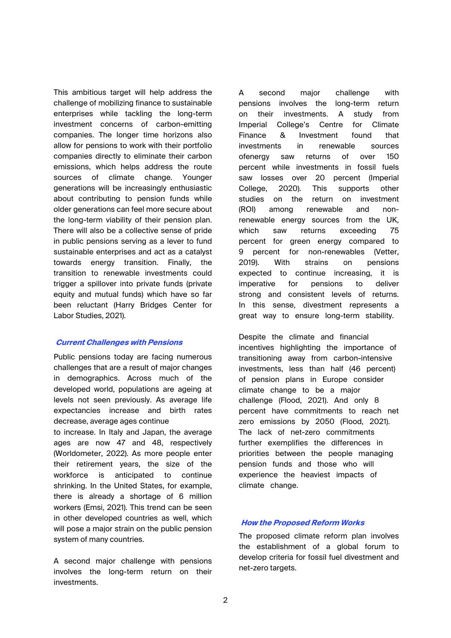This ambitious target will help address the challenge of mobilizing finance to sustainable enterprises while tackling the long-term investment concerns of carbon-emitting companies. The longer time horizons also allow for pensions to work with their portfolio companies directly to eliminate their carbon emissions, which helps address the route sources of climate change. Younger generations will be increasingly enthusiastic about contributing to pension funds while older generations can feel more secure about the long-term viability of their pension plan. There will also be a collective sense of pride in public pensions serving as a lever to fund sustainable enterprises and act as a catalyst towards energy transition. Finally, the transition to renewable investments could trigger a spillover into private funds (private equity and mutual funds) which have so far been reluctant (Harry Bridges Center for Labor Studies, 2021).

#### **Current Challenges with Pensions**

Public pensions today are facing numerous challenges that are a result of major changes in demographics. Across much of the developed world, populations are ageing at levels not seen previously. As average life expectancies increase and birth rates decrease, average ages continue

to increase. In Italy and Japan, the average ages are now 47 and 48, respectively (Worldometer, 2022). As more people enter their retirement years, the size of the workforce is anticipated to continue shrinking. In the United States, for example, there is already a shortage of 6 million workers (Emsi, 2021). This trend can be seen in other developed countries as well, which will pose a major strain on the public pension system of many countries.

A second major challenge with pensions involves the long-term return on their investments.

A second major challenge with pensions involves the long-term return on their investments. A study from Imperial College's Centre for Climate Finance & Investment found that investments in renewable sources ofenergy saw returns of over 150 percent while investments in fossil fuels saw losses over 20 percent (Imperial College, 2020). This supports other studies on the return on investment (ROI) among renewable and nonrenewable energy sources from the UK, which saw returns exceeding 75 percent for green energy compared to 9 percent for non-renewables (Vetter, 2019). With strains on pensions expected to continue increasing, it is imperative for pensions to deliver strong and consistent levels of returns. In this sense, divestment represents a great way to ensure long-term stability.

Despite the climate and financial incentives highlighting the importance of transitioning away from carbon-intensive investments, less than half (46 percent) of pension plans in Europe consider climate change to be a major challenge (Flood, 2021). And only 8 percent have commitments to reach net zero emissions by 2050 (Flood, 2021). The lack of net-zero commitments further exemplifies the differences in priorities between the people managing pension funds and those who will experience the heaviest impacts of climate change.

#### **How the Proposed Reform Works**

The proposed climate reform plan involves the establishment of a global forum to develop criteria for fossil fuel divestment and net-zero targets.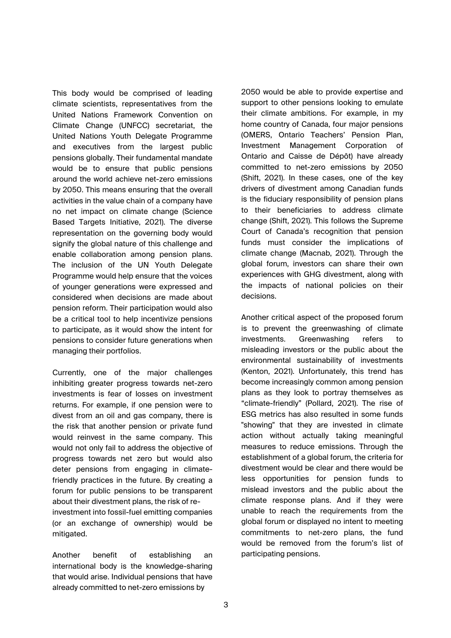This body would be comprised of leading climate scientists, representatives from the United Nations Framework Convention on Climate Change (UNFCC) secretariat, the United Nations Youth Delegate Programme and executives from the largest public pensions globally. Their fundamental mandate would be to ensure that public pensions around the world achieve net-zero emissions by 2050. This means ensuring that the overall activities in the value chain of a company have no net impact on climate change (Science Based Targets Initiative, 2021). The diverse representation on the governing body would signify the global nature of this challenge and enable collaboration among pension plans. The inclusion of the UN Youth Delegate Programme would help ensure that the voices of younger generations were expressed and considered when decisions are made about pension reform. Their participation would also be a critical tool to help incentivize pensions to participate, as it would show the intent for pensions to consider future generations when managing their portfolios.

Currently, one of the major challenges inhibiting greater progress towards net-zero investments is fear of losses on investment returns. For example, if one pension were to divest from an oil and gas company, there is the risk that another pension or private fund would reinvest in the same company. This would not only fail to address the objective of progress towards net zero but would also deter pensions from engaging in climatefriendly practices in the future. By creating a forum for public pensions to be transparent about their divestment plans, the risk of reinvestment into fossil-fuel emitting companies (or an exchange of ownership) would be mitigated.

Another benefit of establishing an international body is the knowledge-sharing that would arise. Individual pensions that have already committed to net-zero emissions by

2050 would be able to provide expertise and support to other pensions looking to emulate their climate ambitions. For example, in my home country of Canada, four major pensions (OMERS, Ontario Teachers' Pension Plan, Investment Management Corporation of Ontario and Caisse de Dépôt) have already committed to net-zero emissions by 2050 (Shift, 2021). In these cases, one of the key drivers of divestment among Canadian funds is the fiduciary responsibility of pension plans to their beneficiaries to address climate change (Shift, 2021). This follows the Supreme Court of Canada's recognition that pension funds must consider the implications of climate change (Macnab, 2021). Through the global forum, investors can share their own experiences with GHG divestment, along with the impacts of national policies on their decisions.

Another critical aspect of the proposed forum is to prevent the greenwashing of climate investments. Greenwashing refers to misleading investors or the public about the environmental sustainability of investments (Kenton, 2021). Unfortunately, this trend has become increasingly common among pension plans as they look to portray themselves as "climate-friendly" (Pollard, 2021). The rise of ESG metrics has also resulted in some funds "showing" that they are invested in climate action without actually taking meaningful measures to reduce emissions. Through the establishment of a global forum, the criteria for divestment would be clear and there would be less opportunities for pension funds to mislead investors and the public about the climate response plans. And if they were unable to reach the requirements from the global forum or displayed no intent to meeting commitments to net-zero plans, the fund would be removed from the forum's list of participating pensions.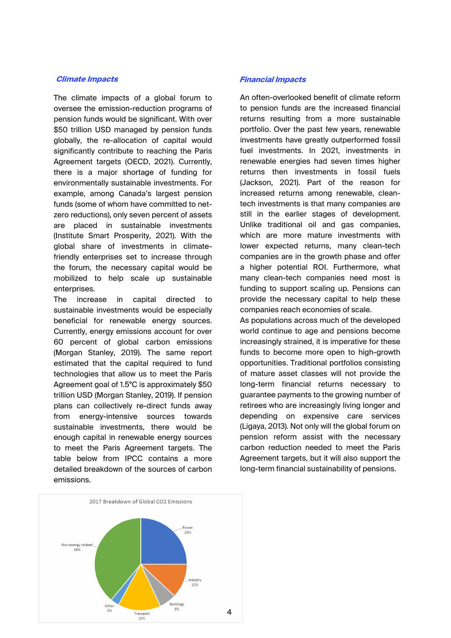The climate impacts of a global forum to oversee the emission-reduction programs of pension funds would be significant. With over \$50 trillion USD managed by pension funds globally, the re-allocation of capital would significantly contribute to reaching the Paris Agreement targets (OECD, 2021). Currently, there is a major shortage of funding for environmentally sustainable investments. For example, among Canada's largest pension funds (some of whom have committed to netzero reductions), only seven percent of assets are placed in sustainable investments (Institute Smart Prosperity, 2021). With the global share of investments in climatefriendly enterprises set to increase through the forum, the necessary capital would be mobilized to help scale up sustainable enterprises.

The increase in capital directed to sustainable investments would be especially beneficial for renewable energy sources. Currently, energy emissions account for over 60 percent of global carbon emissions (Morgan Stanley, 2019). The same report estimated that the capital required to fund technologies that allow us to meet the Paris Agreement goal of 1.5°C is approximately \$50 trillion USD (Morgan Stanley, 2019). If pension plans can collectively re-direct funds away from energy-intensive sources towards sustainable investments, there would be enough capital in renewable energy sources to meet the Paris Agreement targets. The table below from IPCC contains a more detailed breakdown of the sources of carbon emissions.

#### **Climate Impacts Financial Impacts**

An often-overlooked benefit of climate reform to pension funds are the increased financial returns resulting from a more sustainable portfolio. Over the past few years, renewable investments have greatly outperformed fossil fuel investments. In 2021, investments in renewable energies had seven times higher returns then investments in fossil fuels (Jackson, 2021). Part of the reason for increased returns among renewable, cleantech investments is that many companies are still in the earlier stages of development. Unlike traditional oil and gas companies, which are more mature investments with lower expected returns, many clean-tech companies are in the growth phase and offer a higher potential ROI. Furthermore, what many clean-tech companies need most is funding to support scaling up. Pensions can provide the necessary capital to help these companies reach economies of scale.

As populations across much of the developed world continue to age and pensions become increasingly strained, it is imperative for these funds to become more open to high-growth opportunities. Traditional portfolios consisting of mature asset classes will not provide the long-term financial returns necessary to guarantee payments to the growing number of retirees who are increasingly living longer and depending on expensive care services (Ligaya, 2013). Not only will the global forum on pension reform assist with the necessary carbon reduction needed to meet the Paris Agreement targets, but it will also support the long-term financial sustainability of pensions.

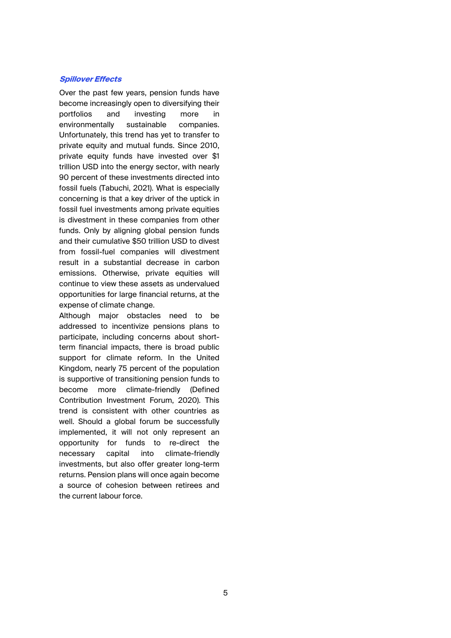#### **Spillover Effects**

Over the past few years, pension funds have become increasingly open to diversifying their portf[olios and investing more in](http://www.bbc.com/news/world-africa-40171095)  environmentally sustainable companies. Unfortunately, this trend has yet to transfer to private equity and mutual funds. Since 2010, private equity funds have invested over \$1 trillion USD into the energy sector, with nearly 90 percent of these investments directed into fossil fuels (Tabuchi, 2021). What is especially concerning is that a key driver of the uptick in fossil fuel investments among private equities is divestment in these companies from other funds. Only by aligning global pension funds and their cumulative \$50 trillion USD to divest from fossil-fuel companies will divestment result in a substantial decrease in carbon emissions. Otherwise, private equities will continue to view these assets as undervalued opportunities for large financial returns, at the expense of climate change.

Although major obstacles need to be addressed to incentivize pensions plans to parti[cipate, including concerns about short](http://www.thinkchina.sg/even-us-obstructs-its-way-how-can-china-build-trust-bri)term financial impacts, there is broad public support for climate reform. In the United King[dom, nearly 75 percent of the population](http://www.lowyinstitute.org/the-interpreter/belt-and-road-colonialism-chinese-characteristics)  is supportive of transitioning pension funds to beco[me more climate-friendly \(Defined](http://www.nytimes.com/2018/06/25/world/asia/china-sri-lanka-port.html)  Contribution Investment Forum, 2020). This trend is consistent with other countries as well. Should a global forum be successfully implemented, it will not only represent an opportunity for funds to re-direct the nece[ssary capital into climate-friendly](http://www.pppcouncil.ca/web/Knowledge_Centre/What_are_P3s_/web/P3_Knowledge_Cent)  investments, but also offer greater long-term returns. Pension plans will once again become a source of cohesion between retirees and the c[urrent labour force.](http://www.railway-technology.com/projects/mombasa-nairobi-standard-gauge-railway-)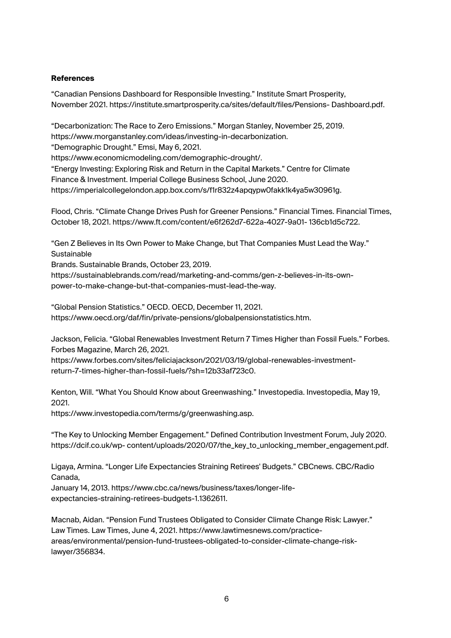### **References**

"Canadian Pensions Dashboard for Responsible Investing." Institute Smart Prosperity, [November 2021. https://institute.smartprosperity.ca/sites/default/files/Pensions- Dashboard.](http://documents1.worldbank.org/curated/en/723671560782662349/pdf/A-Framework-to-)pdf.

"Decarbonization: The Race to Zero Emissions." Morgan Stanley, November 25, 2019. https://www.morganstanley.com/ideas/investing-in-decarbonization. "Demographic Drought." Emsi, May 6, 2021.

https://www.economicmodeling.com/demographic-drought/. "Energy Investing: Exploring Risk and Return in the Capital Markets." Centre for Climate

Finance & Investment. Imperial College Business School, June 2020.

https://imperialcollegelondon.app.box.com/s/f1r832z4apqypw0fakk1k4ya5w30961g.

Flood, Chris. "Climate Change Drives Push for Greener Pensions." Financial Times. Financial Times, October 18, 2021. https://www.ft.com/content/e6f262d7-622a-4027-9a01- 136cb1d5c722.

"Gen Z Believes in Its Own Power to Make Change, but That Companies Must Lead the Way." **Sustainable** 

Brands. Sustainable Brands, October 23, 2019.

https://sustainablebrands.com/read/marketing-and-comms/gen-z-believes-in-its-ownpower-to-make-change-but-that-companies-must-lead-the-way.

"Global Pension Statistics." OECD. OECD, December 11, 2021. https://www.oecd.org/daf/fin/private-pensions/globalpensionstatistics.htm.

Jackson, Felicia. "Global Renewables Investment Return 7 Times Higher than Fossil Fuels." Forbes. Forbes Magazine, March 26, 2021.

https://www.forbes.com/sites/feliciajackson/2021/03/19/global-renewables-investmentreturn-7-times-higher-than-fossil-fuels/?sh=12b33af723c0.

Kenton, Will. "What You Should Know about Greenwashing." Investopedia. Investopedia, May 19, 2021.

https://www.investopedia.com/terms/g/greenwashing.asp.

"The Key to Unlocking Member Engagement." Defined Contribution Investment Forum, July 2020. https://dcif.co.uk/wp- content/uploads/2020/07/the\_key\_to\_unlocking\_member\_engagement.pdf.

Ligaya, Armina. "Longer Life Expectancies Straining Retirees' Budgets." CBCnews. CBC/Radio Canada,

January 14, 2013. https://www.cbc.ca/news/business/taxes/longer-lifeexpectancies-straining-retirees-budgets-1.1362611.

Macnab, Aidan. "Pension Fund Trustees Obligated to Consider Climate Change Risk: Lawyer." Law Times. Law Times, June 4, 2021. https://www.lawtimesnews.com/practiceareas/environmental/pension-fund-trustees-obligated-to-consider-climate-change-risklawyer/356834.